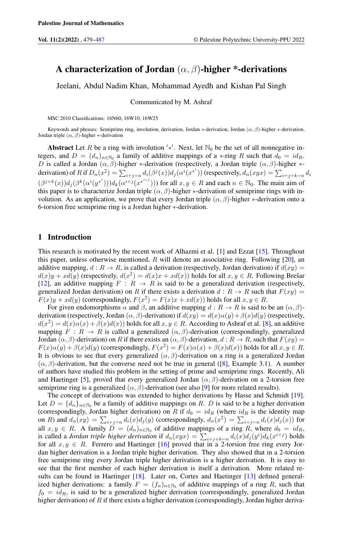# A characterization of Jordan  $(\alpha, \beta)$ -higher \*-derivations

Jeelani, Abdul Nadim Khan, Mohammad Ayedh and Kishan Pal Singh

Communicated by M. Ashraf

MSC 2010 Classifications: 16N60, 16W10, 16W25

Keywords and phrases: Semiprime ring, involution, derivation, Jordan ∗-derivation, Jordan ( $\alpha$ ,  $\beta$ )-higher ∗-derivation, Jordan triple  $(\alpha, \beta)$ -higher \*-derivation

Abstract Let R be a ring with involution '\*'. Next, let  $\mathbb{N}_0$  be the set of all nonnegative integers, and  $D = (d_n)_{n \in \mathbb{N}_0}$  a family of additive mappings of a ∗-ring R such that  $d_0 = id_R$ . D is called a Jordan  $(\alpha, \beta)$ -higher \*-derivation (respectively, a Jordan triple  $(\alpha, \beta)$ -higher \*derivation) of R if  $D_n(x^2) = \sum_{i+j=n} d_i(\beta^j(x)) d_j(\alpha^i(x^{*^i}))$  (respectively,  $d_n(xyx) = \sum_{i+j+k=n} d_i$  $(\beta^{j+k}(x))d_j(\beta^k(\alpha^i(y^{*i})))d_k(\alpha^{i+j}(x^{*^{i+j}})))$  for all  $x, y \in R$  and each  $n \in \mathbb{N}_0$ . The main aim of this paper is to characterize Jordan triple  $(\alpha, \beta)$ -higher \*-derivation of semiprime rings with involution. As an application, we prove that every Jordan triple  $(\alpha, \beta)$ -higher \*-derivation onto a 6-torsion free semiprime ring is a Jordan higher ∗-derivation.

### 1 Introduction

This research is motivated by the recent work of Alhazmi et al. [\[1\]](#page-7-1) and Ezzat [\[15\]](#page-7-2). Throughout this paper, unless otherwise mentioned, R will denote an associative ring. Following  $[20]$ , an additive mapping,  $d : R \to R$ , is called a derivation (respectively, Jordan derivation) if  $d(xy) =$  $d(x)y + xd(y)$  (respectively,  $d(x^2) = d(x)x + xd(x)$ ) holds for all  $x, y \in R$ . Following Brešar [\[12\]](#page-7-3), an additive mapping  $F : R \to R$  is said to be a generalized derivation (respectively, generalized Jordan derivation) on R if there exists a derivation  $d: R \to R$  such that  $F(xy) =$  $F(x)y + xd(y)$  (correspondingly,  $F(x^2) = F(x)x + xd(x)$ ) holds for all  $x, y \in R$ .

For given endomorphisms  $\alpha$  and  $\beta$ , an additive mapping  $d : R \to R$  is said to be an  $(\alpha, \beta)$ derivation (respectively, Jordan ( $\alpha$ ,  $\beta$ )-derivation) if  $d(xy) = d(x)\alpha(y) + \beta(x)d(y)$  (respectively,  $d(x^2) = d(x)\alpha(x) + \beta(x)d(x)$ ) holds for all  $x, y \in R$ . According to Ashraf et al. [\[8\]](#page-7-4), an additive mapping  $F: R \to R$  is called a generalized  $(\alpha, \beta)$ -derivation (correspondingly, generalized Jordan  $(\alpha, \beta)$ -derivation) on R if there exists an  $(\alpha, \beta)$ -derivation,  $d : R \to R$ , such that  $F(xy) =$  $F(x)\alpha(y) + \beta(x)d(y)$  (correspondingly,  $F(x^2) = F(x)\alpha(x) + \beta(x)d(x)$ ) holds for all  $x, y \in R$ . It is obvious to see that every generalized  $(\alpha, \beta)$ -derivation on a ring is a generalized Jordan  $(\alpha, \beta)$ -derivation, but the converse need not be true in general ([\[8\]](#page-7-4), Example 3.1). A number of authors have studied this problem in the setting of prime and semiprime rings. Recently, Ali and Haetinger [\[5\]](#page-7-5), proved that every generalized Jordan  $(\alpha, \beta)$ -derivation on a 2-torsion free semiprime ring is a generalized  $(\alpha, \beta)$ -derivation (see also [\[9\]](#page-7-6) for more related results).

The concept of derivations was extended to higher derivations by Hasse and Schmidt [\[19\]](#page-8-1). Let  $D = \{d_n\}_{n \in \mathbb{N}_0}$  be a family of additive mappings on R. D is said to be a higher derivation (correspondingly, Jordan higher derivation) on R if  $d_0 = id_R$  (where  $id_R$  is the identity map on R) and  $d_n(xy) = \sum_{i+j=n} d_i(x) d_j(y)$  (correspondingly,  $d_n(x^2) = \sum_{i+j=n} d_i(x) d_j(x)$ ) for all  $x, y \in R$ . A family  $D = (d_n)_{n \in \mathbb{N}_0}$  of additive mappings of a ring R, where  $d_0 = id_R$ , is called a *Jordan triple higher derivation* if  $d_n(xyx) = \sum_{i+j+k=n} d_i(x)d_j(y^i)d_k(x^{i+j})$  holds for all  $x, y \in R$ . Ferrero and Haetinger [\[16\]](#page-8-2) proved that in a 2-torsion free ring every Jordan higher derivation is a Jordan triple higher derivation. They also showed that in a 2-torsion free semiprime ring every Jordan triple higher derivation is a higher derivation. It is easy to see that the first member of each higher derivation is itself a derivation. More related results can be found in Haetinger [\[18\]](#page-8-3). Later on, Cortes and Haetinger [\[13\]](#page-7-7) defined generalized higher derivations: a family  $F = (f_n)_{n \in \mathbb{N}_0}$  of additive mappings of a ring R, such that  $f_0 = id_R$ , is said to be a generalized higher derivation (correspondingly, generalized Jordan higher derivation) of  $R$  if there exists a higher derivation (correspondingly, Jordan higher deriva-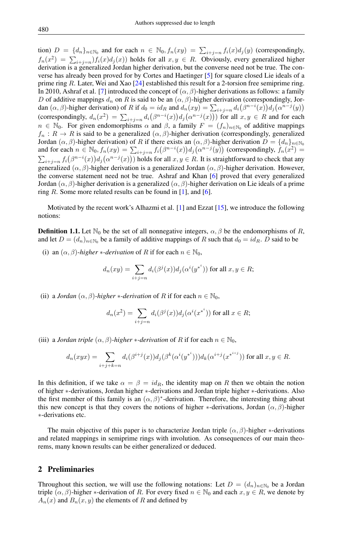tion)  $D = \{d_n\}_{n \in \mathbb{N}_0}$  and for each  $n \in \mathbb{N}_0, f_n(xy) = \sum_{i+j=n} f_i(x) d_j(y)$  (correspondingly,  $f_n(x^2) = \sum_{i+j=n} f_i(x) d_j(x)$  holds for all  $x, y \in R$ . Obviously, every generalized higher derivation is a generalized Jordan higher derivation, but the converse need not be true. The converse has already been proved for by Cortes and Haetinger [\[5\]](#page-7-5) for square closed Lie ideals of a prime ring R. Later, Wei and Xao [\[24\]](#page-8-4) established this result for a 2-torsion free semiprime ring. In 2010, Ashraf et al. [\[7\]](#page-7-8) introduced the concept of  $(\alpha, \beta)$ -higher derivations as follows: a family D of additive mappings  $d_n$  on R is said to be an  $(\alpha, \beta)$ -higher derivation (correspondingly, Jordan  $(\alpha, \beta)$ -higher derivation) of R if  $d_0 = id_R$  and  $d_n(xy) = \sum_{i+j=n} d_i(\beta^{n-i}(x))d_j(\alpha^{n-j}(y))$ (correspondingly,  $d_n(x^2) = \sum_{i+j=n} d_i(\beta^{n-i}(x)) d_j(\alpha^{n-j}(x))$ ) for all  $x, y \in R$  and for each  $n \in \mathbb{N}_0$ . For given endomorphisms  $\alpha$  and  $\beta$ , a family  $F = (f_n)_{n \in \mathbb{N}_0}$  of additive mappings  $f_n: R \to R$  is said to be a generalized  $(\alpha, \beta)$ -higher derivation (correspondingly, generalized Jordan  $(\alpha, \beta)$ -higher derivation) of R if there exists an  $(\alpha, \beta)$ -higher derivation  $D = \{d_n\}_{n \in \mathbb{N}_0}$ and for each  $n \in \mathbb{N}_0$ ,  $f_n(xy) = \sum_{i+j=n} f_i(\beta^{n-i}(x)) d_j(\alpha^{n-j}(y))$  (correspondingly,  $f_n(x^2) =$  $\sum_{i+j=n} f_i(\beta^{n-i}(x)) d_j(\alpha^{n-j}(x))$  holds for all  $x, y \in R$ . It is straightforward to check that any generalized ( $\alpha$ ,  $\beta$ )-higher derivation is a generalized Jordan ( $\alpha$ ,  $\beta$ )-higher derivation. However, the converse statement need not be true. Ashraf and Khan [\[6\]](#page-7-9) proved that every generalized Jordan ( $\alpha, \beta$ )-higher derivation is a generalized ( $\alpha, \beta$ )-higher derivation on Lie ideals of a prime ring  $R$ . Some more related results can be found in [\[1\]](#page-7-1), and [\[6\]](#page-7-9).

Motivated by the recent work's Alhazmi et al. [\[1\]](#page-7-1) and Ezzat [\[15\]](#page-7-2), we introduce the following notions:

**Definition 1.1.** Let  $\mathbb{N}_0$  be the set of all nonnegative integers,  $\alpha$ ,  $\beta$  be the endomorphisms of R, and let  $D = (d_n)_{n \in \mathbb{N}_0}$  be a family of additive mappings of R such that  $d_0 = id_R$ . D said to be

(i) an  $(\alpha, \beta)$ -*higher* \*-derivation of R if for each  $n \in \mathbb{N}_0$ ,

$$
d_n(xy) = \sum_{i+j=n} d_i(\beta^j(x))d_j(\alpha^i(y^{*^i})) \text{ for all } x, y \in R;
$$

(ii) a *Jordan*  $(\alpha, \beta)$ *-higher* \**-derivation* of R if for each  $n \in \mathbb{N}_0$ ,

$$
d_n(x^2) = \sum_{i+j=n} d_i(\beta^j(x)) d_j(\alpha^i(x^{*^i}))
$$
 for all  $x \in R$ ;

(iii) a *Jordan triple*  $(\alpha, \beta)$ *-higher* \**-derivation* of R if for each  $n \in \mathbb{N}_0$ ,

$$
d_n(xyx) = \sum_{i+j+k=n} d_i(\beta^{i+j}(x))d_j(\beta^k(\alpha^i(y^{*i})))d_k(\alpha^{i+j}(x^{*^{i+j}})) \text{ for all } x, y \in R.
$$

In this definition, if we take  $\alpha = \beta = id_R$ , the identity map on R then we obtain the notion of higher ∗-derivations, Jordan higher ∗-derivations and Jordan triple higher ∗-derivations. Also the first member of this family is an  $(\alpha, \beta)^*$ -derivation. Therefore, the interesting thing about this new concept is that they covers the notions of higher ∗-derivations, Jordan  $(\alpha, \beta)$ -higher ∗-derivations etc.

The main objective of this paper is to characterize Jordan triple  $(\alpha, \beta)$ -higher \*-derivations and related mappings in semiprime rings with involution. As consequences of our main theorems, many known results can be either generalized or deduced.

### 2 Preliminaries

Throughout this section, we will use the following notations: Let  $D = (d_n)_{n \in \mathbb{N}_0}$  be a Jordan triple  $(\alpha, \beta)$ -higher \*-derivation of R. For every fixed  $n \in \mathbb{N}_0$  and each  $x, y \in R$ , we denote by  $A_n(x)$  and  $B_n(x, y)$  the elements of R and defined by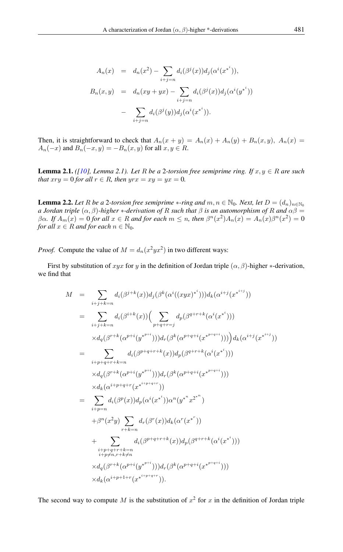$$
A_n(x) = d_n(x^2) - \sum_{i+j=n} d_i(\beta^j(x))d_j(\alpha^i(x^{*^i})),
$$
  
\n
$$
B_n(x,y) = d_n(xy+yx) - \sum_{i+j=n} d_i(\beta^j(x))d_j(\alpha^i(y^{*^i}))
$$
  
\n
$$
- \sum_{i+j=n} d_i(\beta^j(y))d_j(\alpha^i(x^{*^i})).
$$

Then, it is straightforward to check that  $A_n(x + y) = A_n(x) + A_n(y) + B_n(x, y)$ ,  $A_n(x) =$  $A_n(-x)$  and  $B_n(-x, y) = -B_n(x, y)$  for all  $x, y \in R$ .

<span id="page-2-0"></span>**Lemma 2.1.** *([\[10\]](#page-7-10), Lemma 2.1). Let*  $R$  *be a 2-torsion free semiprime ring. If*  $x, y \in R$  *are such that*  $xry = 0$  *for all*  $r \in R$ *, then*  $yrx = xy = yx = 0$ *.* 

<span id="page-2-1"></span>**Lemma 2.2.** *Let* R *be a* 2*-torsion free semiprime* \**-ring and*  $m, n \in \mathbb{N}_0$ *. Next, let*  $D = (d_n)_{n \in \mathbb{N}_0}$ *a Jordan triple*  $(\alpha, \beta)$ *-higher* \**-derivation of* R *such that*  $\beta$  *is an automorphism of* R *and*  $\alpha\beta$  =  $\beta\alpha$ . If  $A_m(x) = 0$  for all  $x \in R$  and for each  $m \leq n$ , then  $\beta^n(x^2)A_n(x) = A_n(x)\beta^n(x^2) = 0$ *for all*  $x \in R$  *and for each*  $n \in \mathbb{N}_0$ *.* 

*Proof.* Compute the value of  $M = d_n(x^2yx^2)$  in two different ways:

First by substitution of xyx for y in the definition of Jordan triple  $(\alpha, \beta)$ -higher  $*$ -derivation, we find that

$$
M = \sum_{i+j+k=n} d_i(\beta^{j+k}(x)) d_j(\beta^k(\alpha^i((xyx)^{*}))) d_k(\alpha^{i+j}(x^{*^{i+j}}))
$$
  
\n
$$
= \sum_{i+j+k=n} d_i(\beta^{i+k}(x)) \Big( \sum_{p+q+r=j} d_p(\beta^{q+r+k}(\alpha^i(x^{*})))
$$
  
\n
$$
\times d_q(\beta^{r+k}(\alpha^{p+i}(y^{*^{p+i}}))) d_r(\beta^k(\alpha^{p+q+i}(x^{*^{p+q+i}}))) \Big) d_k(\alpha^{i+j}(x^{*^{i+j}}))
$$
  
\n
$$
= \sum_{i+p+q+r+k=n} d_i(\beta^{p+q+r+k}(x)) d_p(\beta^{q+r+k}(\alpha^i(x^{*})))
$$
  
\n
$$
\times d_q(\beta^{r+k}(\alpha^{p+i}(y^{*^{p+i}}))) d_r(\beta^k(\alpha^{p+q+i}(x^{*^{p+q+i}})))
$$
  
\n
$$
\times d_k(\alpha^{i+p+q+r}(x^{*^{i+p+q+r}}))
$$
  
\n
$$
= \sum_{i+p=n} d_i(\beta^p(x)) d_p(\alpha^i(x^{*^i})) \alpha^n(y^{*^nz^{2^{*n}})
$$
  
\n
$$
+ \beta^n(x^2y) \sum_{r+k=n} d_r(\beta^r(x)) d_k(\alpha^r(x^{*^r}))
$$
  
\n
$$
i+p+q+r+k=n
$$
  
\n
$$
i+p+q+r+k=n
$$
  
\n
$$
\times d_q(\beta^{r+k}(\alpha^{p+i}(y^{*^{p+i}}))) d_r(\beta^k(\alpha^{p+q+i}(x^{*^{p+q+i}})))
$$
  
\n
$$
\times d_k(\alpha^{i+p+1+r}(x^{*^{i+p+q+r}})).
$$

The second way to compute M is the substitution of  $x^2$  for x in the definition of Jordan triple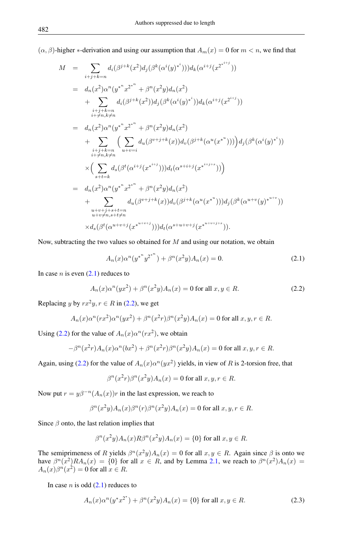$(\alpha, \beta)$ -higher \*-derivation and using our assumption that  $A_m(x) = 0$  for  $m < n$ , we find that

$$
M = \sum_{i+j+k=n} d_i(\beta^{j+k}(x^2)d_j(\beta^k(\alpha^i(y)^{*})))d_k(\alpha^{i+j}(x^{2^{*i+j}}))
$$
  
\n
$$
= d_n(x^2)\alpha^n(y^{*^nx^{2^{*n}}} + \beta^n(x^2y)d_n(x^2)
$$
  
\n
$$
+ \sum_{\substack{i+j+k=n \ i \neq n, k \neq n}} d_i(\beta^{j+k}(x^2))d_j(\beta^k(\alpha^i(y)^{*})))d_k(\alpha^{i+j}(x^{2^{i+j}}))
$$
  
\n
$$
= d_n(x^2)\alpha^n(y^{*^nx^{2^{*n}}} + \beta^n(x^2y)d_n(x^2)
$$
  
\n
$$
+ \sum_{\substack{i+j+k=n \ i \neq n, k \neq n}} \Big(\sum_{u+v=i} d_u(\beta^{v+j+k}(x))d_v(\beta^{j+k}(\alpha^u(x^{*u}))))\Big)d_j(\beta^k(\alpha^i(y)^{*}))
$$
  
\n
$$
\times \Big(\sum_{s+t=k} d_s(\beta^t(\alpha^{i+j}(x^{*^{i+j}})))d_t(\alpha^{s+i+j}(x^{*^{i+j+s}})))\Big)
$$
  
\n
$$
= d_n(x^2)\alpha^n(y^{*^nx^{2^{*n}}} + \beta^n(x^2y)d_n(x^2)
$$
  
\n
$$
+ \sum_{\substack{u+v+j+s+t=n \ u+v \neq n, s+t \neq n}} d_u(\beta^{v+j+k}(x))d_v(\beta^{j+k}(\alpha^u(x^{*}))))d_j(\beta^k(\alpha^{u+v}(y)^{*^{u+v}}))
$$

Now, subtracting the two values so obtained for  $M$  and using our notation, we obtain

<span id="page-3-0"></span>
$$
A_n(x)\alpha^n(y^{*^n}y^{2^{*^n}}) + \beta^n(x^2y)A_n(x) = 0.
$$
\n(2.1)

In case *n* is even  $(2.1)$  reduces to

<span id="page-3-1"></span>
$$
A_n(x)\alpha^n(yx^2) + \beta^n(x^2y)A_n(x) = 0 \text{ for all } x, y \in R. \tag{2.2}
$$

Replacing y by  $rx^2y, r \in R$  in [\(2.2\)](#page-3-1), we get

$$
A_n(x)\alpha^n(rx^2)\alpha^n(yx^2) + \beta^n(x^2r)\beta^n(x^2y)A_n(x) = 0 \text{ for all } x, y, r \in R.
$$

Using [\(2.2\)](#page-3-1) for the value of  $A_n(x) \alpha^n(rx^2)$ , we obtain

$$
-\beta^{n}(x^{2}r)A_{n}(x)\alpha^{n}(bx^{2}) + \beta^{n}(x^{2}r)\beta^{n}(x^{2}y)A_{n}(x) = 0 \text{ for all } x, y, r \in R.
$$

Again, using [\(2.2\)](#page-3-1) for the value of  $A_n(x) \alpha^n(yx^2)$  yields, in view of R is 2-torsion free, that

$$
\beta^{n}(x^{2}r)\beta^{n}(x^{2}y)A_{n}(x) = 0 \text{ for all } x, y, r \in R.
$$

Now put  $r = y\beta^{-n}(A_n(x))r$  in the last expression, we reach to

$$
\beta^{n}(x^{2}y)A_{n}(x)\beta^{n}(r)\beta^{n}(x^{2}y)A_{n}(x) = 0 \text{ for all } x, y, r \in R.
$$

Since  $\beta$  onto, the last relation implies that

$$
\beta^{n}(x^{2}y)A_{n}(x)R\beta^{n}(x^{2}y)A_{n}(x) = \{0\} \text{ for all } x, y \in R.
$$

The semiprimeness of R yields  $\beta^{n}(x^2y)A_n(x) = 0$  for all  $x, y \in R$ . Again since  $\beta$  is onto we have  $\beta^{n}(x^2)RA_n(x) = \{0\}$  for all  $x \in R$ , and by Lemma [2.1,](#page-2-0) we reach to  $\beta^{n}(x^2)A_n(x) =$  $A_n(x)\beta^n(x^2) = 0$  for all  $x \in R$ .

In case *n* is odd  $(2.1)$  reduces to

<span id="page-3-2"></span>
$$
A_n(x)\alpha^n(y^*x^{2^*}) + \beta^n(x^2y)A_n(x) = \{0\} \text{ for all } x, y \in R. \tag{2.3}
$$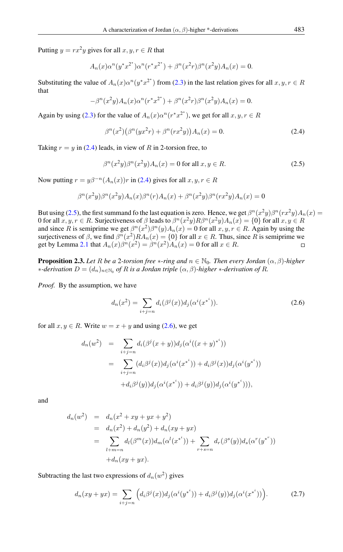Putting  $y = rx^2y$  gives for all  $x, y, r \in R$  that

$$
A_n(x)\alpha^n(y^*x^{2^*})\alpha^n(r^*x^{2^*}) + \beta^n(x^2r)\beta^n(x^2y)A_n(x) = 0.
$$

Substituting the value of  $A_n(x) \alpha^n(y^*x^{2^*})$  from [\(2.3\)](#page-3-2) in the last relation gives for all  $x, y, r \in R$ that

$$
-\beta^{n}(x^{2}y)A_{n}(x)\alpha^{n}(r^{*}x^{2^{*}}) + \beta^{n}(x^{2}r)\beta^{n}(x^{2}y)A_{n}(x) = 0.
$$

Again by using [\(2.3\)](#page-3-2) for the value of  $A_n(x) \alpha^n (r^* x^{2^*})$ , we get for all  $x, y, r \in R$ 

<span id="page-4-0"></span>
$$
\beta^{n}(x^{2})\left(\beta^{n}(yx^{2}r) + \beta^{n}(rx^{2}y)\right)A_{n}(x) = 0.
$$
\n(2.4)

Taking  $r = y$  in [\(2.4\)](#page-4-0) leads, in view of R in 2-torsion free, to

<span id="page-4-1"></span>
$$
\beta^{n}(x^{2}y)\beta^{n}(x^{2}y)A_{n}(x) = 0 \text{ for all } x, y \in R.
$$
\n(2.5)

Now putting  $r = y\beta^{-n}(A_n(x))r$  in [\(2.4\)](#page-4-0) gives for all  $x, y, r \in R$ 

$$
\beta^{n}(x^{2}y)\beta^{n}(x^{2}y)A_{n}(x)\beta^{n}(r)A_{n}(x) + \beta^{n}(x^{2}y)\beta^{n}(rx^{2}y)A_{n}(x) = 0
$$

But using [\(2.5\)](#page-4-1), the first summand fo the last equation is zero. Hence, we get  $\beta^{n}(x^2y)\beta^{n}(rx^2y)A_n(x) =$ 0 for all  $x, y, r \in R$ . Surjectiveness of  $\beta$  leads to  $\beta^n(x^2y)R\beta^n(x^2y)A_n(x) = \{0\}$  for all  $x, y \in R$ and since R is semiprime we get  $\beta^{n}(x^{2})\beta^{n}(y)A_{n}(x) = 0$  for all  $x, y, r \in R$ . Again by using the surjectiveness of  $\beta$ , we find  $\beta^{n}(x^{2})RA_{n}(x) = \{0\}$  for all  $x \in R$ . Thus, since R is semiprime we get by Lemma [2.1](#page-2-0) that  $A_n(x)\beta^n(x^2) = \beta^n(x^2)A_n(x) = 0$  for all  $x \in R$ .  $\Box$ 

<span id="page-4-4"></span>**Proposition 2.3.** *Let* R *be a* 2-torsion free  $*$ -ring and  $n \in \mathbb{N}_0$ *. Then every Jordan*  $(\alpha, \beta)$ *-higher*  $*$ *-derivation*  $D = (d_n)_{n \in \mathbb{N}_0}$  of R is a Jordan triple  $(\alpha, \beta)$ *-higher*  $*$ *-derivation of R.* 

*Proof.* By the assumption, we have

<span id="page-4-2"></span>
$$
d_n(x^2) = \sum_{i+j=n} d_i(\beta^j(x)) d_j(\alpha^i(x^{*^i})).
$$
\n(2.6)

for all  $x, y \in R$ . Write  $w = x + y$  and using [\(2.6\)](#page-4-2), we get

$$
d_n(w^2) = \sum_{i+j=n} d_i(\beta^j(x+y))d_j(\alpha^i((x+y)^{*}^i))
$$
  
= 
$$
\sum_{i+j=n} (d_i\beta^j(x))d_j(\alpha^i(x^{*}^i)) + d_i\beta^j(x))d_j(\alpha^i(y^{*}^i))
$$
  
+ 
$$
d_i\beta^j(y))d_j(\alpha^i(x^{*}^i)) + d_i\beta^j(y))d_j(\alpha^i(y^{*}^i))),
$$

and

$$
d_n(w^2) = d_n(x^2 + xy + yx + y^2)
$$
  
=  $d_n(x^2) + d_n(y^2) + d_n(xy + yx)$   
= 
$$
\sum_{l+m=n} d_l(\beta^m(x))d_m(\alpha^l(x^{*}^*)) + \sum_{r+s=n} d_r(\beta^s(y))d_s(\alpha^r(y^{*}^*))
$$
  
+  $d_n(xy + yx)$ .

Subtracting the last two expressions of  $d_n(w^2)$  gives

<span id="page-4-3"></span>
$$
d_n(xy + yx) = \sum_{i+j=n} \left( d_i \beta^j(x) d_j(\alpha^i(y^{*^i})) + d_i \beta^j(y) d_j(\alpha^i(x^{*^i})) \right).
$$
 (2.7)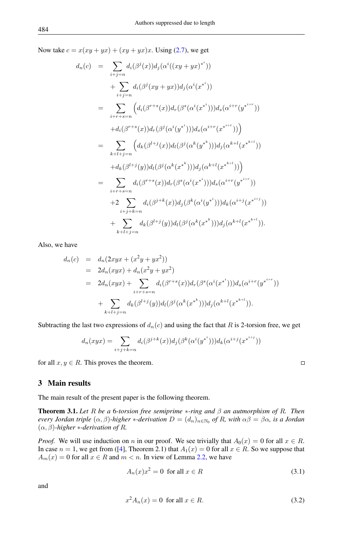Now take  $c = x(xy + yx) + (xy + yx)x$ . Using [\(2.7\)](#page-4-3), we get

$$
d_n(c) = \sum_{i+j=n} d_i(\beta^j(x)) d_j(\alpha^i((xy+yx)^{*^i}))
$$
  
+ 
$$
\sum_{i+j=n} d_i(\beta^j(xy+yx)) d_j(\alpha^i(x^{*^i}))
$$
  
= 
$$
\sum_{i+r+s=n} \left( d_i(\beta^{r+s}(x)) d_r(\beta^s(\alpha^i(x^{*^i}))) d_s(\alpha^{i+r}(y^{*^{i+r}}))
$$
  
+ 
$$
d_i(\beta^{r+s}(x)) d_r(\beta^j(\alpha^i(y^{*^i}))) d_s(\alpha^{i+r}(x^{*^{i+r}})) \right)
$$
  
= 
$$
\sum_{k+l+j=n} \left( d_k(\beta^{l+j}(x)) d_l(\beta^j(\alpha^k(y^{*^k}))) d_j(\alpha^{k+l}(x^{*^{k+l}}))
$$
  
+ 
$$
d_k(\beta^{l+j}(y)) d_l(\beta^j(\alpha^k(x^{*^k}))) d_j(\alpha^{k+l}(x^{*^{k+l}})) \right)
$$
  
= 
$$
\sum_{i+r+s=n} d_i(\beta^{r+s}(x)) d_r(\beta^s(\alpha^i(x^{*^i}))) d_s(\alpha^{i+r}(y^{*^{i+r}}))
$$
  
+ 
$$
2 \sum_{i+j+k=n} d_i(\beta^{j+k}(x)) d_j(\beta^k(\alpha^i(y^{*^i}))) d_k(\alpha^{i+j}(x^{*^{i+j}})).
$$

Also, we have

$$
d_n(c) = d_n(2xyx + (x^2y + yx^2))
$$
  
=  $2d_n(xyx) + d_n(x^2y + yx^2)$   
=  $2d_n(xyx) + \sum_{i+r+s=n} d_i(\beta^{r+s}(x))d_r(\beta^s(\alpha^i(x^{*i})))d_s(\alpha^{i+r}(y^{*i+r}))$   
+  $\sum_{k+l+j=n} d_k(\beta^{l+j}(y))d_l(\beta^j(\alpha^k(x^{*k})))d_j(\alpha^{k+l}(x^{*k+l})).$ 

Subtracting the last two expressions of  $d_n(c)$  and using the fact that R is 2-torsion free, we get

$$
d_n(xyx) = \sum_{i+j+k=n} d_i(\beta^{j+k}(x))d_j(\beta^k(\alpha^i(y^{*i})))d_k(\alpha^{i+j}(x^{*^{i+j}}))
$$

for all  $x, y \in R$ . This proves the theorem.

3 Main results

The main result of the present paper is the following theorem.

<span id="page-5-2"></span>Theorem 3.1. *Let* R *be a* 6*-torsion free semiprime* ∗*-ring and* β *an autmorphism of* R*. Then every Jordan triple*  $(\alpha, \beta)$ -*higher* \*-derivation  $D = (d_n)_{n \in \mathbb{N}_0}$  of R, with  $\alpha\beta = \beta\alpha$ , is a Jordan  $(\alpha, \beta)$ *-higher* \**-derivation of R.* 

*Proof.* We will use induction on n in our proof. We see trivially that  $A_0(x) = 0$  for all  $x \in R$ . In case  $n = 1$ , we get from ([\[4\]](#page-7-11), Theorem 2.1) that  $A_1(x) = 0$  for all  $x \in R$ . So we suppose that  $A_m(x) = 0$  for all  $x \in R$  and  $m < n$ . In view of Lemma [2.2,](#page-2-1) we have

<span id="page-5-0"></span>
$$
A_n(x)x^2 = 0 \text{ for all } x \in R
$$
\n(3.1)

and

<span id="page-5-1"></span>
$$
x^2 A_n(x) = 0 \text{ for all } x \in R. \tag{3.2}
$$

 $\Box$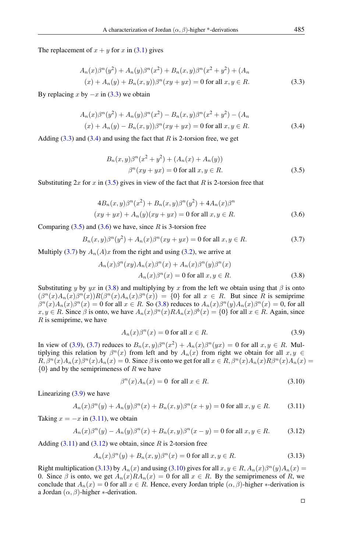The replacement of  $x + y$  for x in [\(3.1\)](#page-5-0) gives

<span id="page-6-0"></span>
$$
A_n(x)\beta^n(y^2) + A_n(y)\beta^n(x^2) + B_n(x,y)\beta^n(x^2 + y^2) + (A_n(x^2 + y^2) + A_n(y^2) + B_n(x,y))\beta^n(xy + yx) = 0 \text{ for all } x, y \in R.
$$
\n(3.3)

By replacing x by  $-x$  in [\(3.3\)](#page-6-0) we obtain

<span id="page-6-1"></span>
$$
A_n(x)\beta^n(y^2) + A_n(y)\beta^n(x^2) - B_n(x, y)\beta^n(x^2 + y^2) - (A_n
$$
  
(x) + A\_n(y) - B\_n(x, y))\beta^n(xy + yx) = 0 for all  $x, y \in R$ . (3.4)

Adding  $(3.3)$  and  $(3.4)$  and using the fact that R is 2-torsion free, we get

<span id="page-6-2"></span>
$$
B_n(x, y)\beta^n(x^2 + y^2) + (A_n(x) + A_n(y))
$$
  

$$
\beta^n(xy + yx) = 0 \text{ for all } x, y \in R.
$$
 (3.5)

Substituting  $2x$  for x in [\(3.5\)](#page-6-2) gives in view of the fact that R is 2-torsion free that

<span id="page-6-3"></span>
$$
4B_n(x, y)\beta^n(x^2) + B_n(x, y)\beta^n(y^2) + 4A_n(x)\beta^n
$$
  
(xy + yx) + A\_n(y)(xy + yx) = 0 for all x, y \in R. (3.6)

Comparing  $(3.5)$  and  $(3.6)$  we have, since R is 3-torsion free

<span id="page-6-4"></span>
$$
B_n(x,y)\beta^n(y^2) + A_n(x)\beta^n(xy+yx) = 0 \text{ for all } x, y \in R. \tag{3.7}
$$

Multiply [\(3.7\)](#page-6-4) by  $A_n(A)x$  from the right and using [\(3.2\)](#page-5-1), we arrive at

<span id="page-6-5"></span>
$$
A_n(x)\beta^n(xy)A_n(x)\beta^n(x) + A_n(x)\beta^n(y)\beta^n(x)
$$
  

$$
A_n(x)\beta^n(x) = 0 \text{ for all } x, y \in R.
$$
 (3.8)

Substituting y by yx in [\(3.8\)](#page-6-5) and multiplying by x from the left we obtain using that  $\beta$  is onto  $(\beta^{n}(x)A_{n}(x)\beta^{n}(x))R(\beta^{n}(x)A_{n}(x)\beta^{n}(x)) = \{0\}$  for all  $x \in R$ . But since R is semiprime  $\beta^{n}(x)A_{n}(x)\beta^{n}(x) = 0$  for all  $x \in R$ . So [\(3.8\)](#page-6-5) reduces to  $A_{n}(x)\beta^{n}(y)A_{n}(x)\beta^{n}(x) = 0$ , for all  $x, y \in R$ . Since  $\beta$  is onto, we have  $A_n(x)\beta^n(x)RA_n(x)\beta^b(x) = \{0\}$  for all  $x \in R$ . Again, since  $R$  is semiprime, we have

<span id="page-6-6"></span>
$$
A_n(x)\beta^n(x) = 0 \text{ for all } x \in R. \tag{3.9}
$$

In view of [\(3.9\)](#page-6-6), [\(3.7\)](#page-6-4) reduces to  $B_n(x, y)\beta^n(x^2) + A_n(x)\beta^n(yx) = 0$  for all  $x, y \in R$ . Multiplying this relation by  $\beta^{n}(x)$  from left and by  $A_{n}(x)$  from right we obtain for all  $x, y \in$  $R, \beta^{n}(x)A_{n}(x)\beta^{n}(x)A_{n}(x) = 0.$  Since  $\beta$  is onto we get for all  $x \in R, \beta^{n}(x)A_{n}(x)R\beta^{n}(x)A_{n}(x) = 0.$  ${0}$  and by the semiprimeness of R we have

<span id="page-6-10"></span><span id="page-6-8"></span><span id="page-6-7"></span>
$$
\beta^{n}(x)A_{n}(x) = 0 \text{ for all } x \in R.
$$
\n(3.10)

Linearizing  $(3.9)$  we have

$$
A_n(x)\beta^n(y) + A_n(y)\beta^n(x) + B_n(x, y)\beta^n(x + y) = 0 \text{ for all } x, y \in R. \tag{3.11}
$$

Taking  $x = -x$  in [\(3.11\)](#page-6-7), we obtain

$$
A_n(x)\beta^n(y) - A_n(y)\beta^n(x) + B_n(x, y)\beta^n(x - y) = 0 \text{ for all } x, y \in R. \tag{3.12}
$$

Adding  $(3.11)$  and  $(3.12)$  we obtain, since R is 2-torsion free

<span id="page-6-9"></span>
$$
A_n(x)\beta^n(y) + B_n(x, y)\beta^n(x) = 0 \text{ for all } x, y \in R. \tag{3.13}
$$

Right multiplication [\(3.13\)](#page-6-9) by  $A_n(x)$  and using [\(3.10\)](#page-6-10) gives for all  $x, y \in R$ ,  $A_n(x)\beta^n(y)A_n(x) =$ 0. Since  $\beta$  is onto, we get  $A_n(x)RA_n(x) = 0$  for all  $x \in R$ . By the semiprimeness of R, we conclude that  $A_n(x) = 0$  for all  $x \in R$ . Hence, every Jordan triple  $(\alpha, \beta)$ -higher  $*$ -derivation is a Jordan  $(\alpha, \beta)$ -higher \*-derivation.

 $\Box$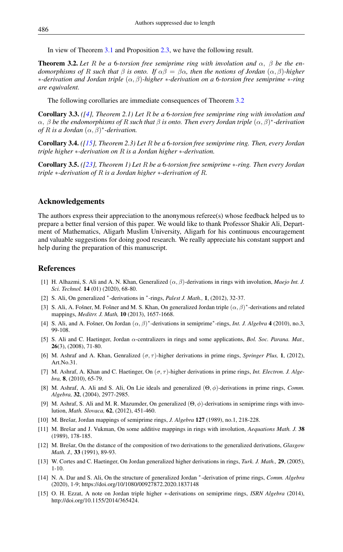In view of Theorem [3.1](#page-5-2) and Proposition [2.3,](#page-4-4) we have the following result.

<span id="page-7-12"></span>**Theorem 3.2.** Let R be a 6-torsion free semiprime ring with involution and  $\alpha$ ,  $\beta$  be the en*domorphisms of* R *such that*  $\beta$  *is onto.* If  $\alpha\beta = \beta\alpha$ , then the notions of Jordan  $(\alpha, \beta)$ *-higher* ∗*-derivation and Jordan triple* (α, β)*-higher* ∗*-derivation on a* 6*-torsion free semiprime* ∗*-ring are equivalent.*

The following corollaries are immediate consequences of Theorem [3.2](#page-7-12)

Corollary 3.3. *([\[4\]](#page-7-11), Theorem 2.1) Let* R *be a* 6*-torsion free semiprime ring with involution and* α, β *be the endomorphisms of* R *such that* β *is onto. Then every Jordan triple* (α, β) ∗ *-derivation of*  $R$  *is a Jordan*  $(\alpha, \beta)^*$ -*derivation.* 

Corollary 3.4. *([\[15\]](#page-7-2), Theorem 2.3) Let* R *be a* 6*-torsion free semiprime ring. Then, every Jordan triple higher* ∗*-derivation on* R *is a Jordan higher* ∗*-derivation.*

Corollary 3.5. *([\[23\]](#page-8-5), Theorem 1) Let* R *be a* 6*-torsion free semiprime* ∗*-ring. Then every Jordan triple* ∗*-derivation of* R *is a Jordan higher* ∗*-derivation of* R*.*

### Acknowledgements

The authors express their appreciation to the anonymous referee(s) whose feedback helped us to prepare a better final version of this paper. We would like to thank Professor Shakir Ali, Department of Mathematics, Aligarh Muslim University, Aligarh for his continuous encouragement and valuable suggestions for doing good research. We really appreciate his constant support and help during the preparation of this manuscript.

## <span id="page-7-0"></span>References

- <span id="page-7-1"></span>[1] H. Alhazmi, S. Ali and A. N. Khan, Generalized (α, β)-derivations in rings with involution, *Maejo Int. J. Sci. Technol.* 14 (01) (2020), 68-80.
- [2] S. Ali, On generalized \*-derivations in \*-rings, *Palest J. Math.*, 1, (2012), 32-37.
- [3] S. Ali, A. Fošner, M. Fošner and M. S. Khan, On generalized Jordan triple  $(\alpha, \beta)^*$ -derivations and related mappings, *Meditrr. J. Math,* 10 (2013), 1657-1668.
- <span id="page-7-11"></span>[4] S. Ali, and A. Fošner, On Jordan  $(\alpha, \beta)^*$ -derivations in semiprime<sup>\*</sup>-rings, *Int. J. Algebra* 4 (2010), no.3, 99-108.
- <span id="page-7-5"></span>[5] S. Ali and C. Haetinger, Jordan α-centralizers in rings and some applications, *Bol. Soc. Parana. Mat.,* 26(3), (2008), 71-80.
- <span id="page-7-9"></span>[6] M. Ashraf and A. Khan, Genralized  $(\sigma, \tau)$ -higher derivations in prime rings, *Springer Plus*, 1, (2012), Art.No.31.
- <span id="page-7-8"></span>[7] M. Ashraf, A. Khan and C. Haetinger, On (σ, τ )-higher derivations in prime rings, *Int. Electron. J. Algebra,* 8, (2010), 65-79.
- <span id="page-7-4"></span>[8] M. Ashraf, A. Ali and S. Ali, On Lie ideals and generalized (Θ, φ)-derivations in prime rings, *Comm. Algebra,* 32, (2004), 2977-2985.
- <span id="page-7-6"></span>[9] M. Ashraf, S. Ali and M. R. Mazumder, On generalized (Θ, φ)-derivations in semiprime rings with involution, *Math. Slovaca,* 62, (2012), 451-460.
- <span id="page-7-10"></span>[10] M. Brešar, Jordan mappings of semiprime rings, *J. Algebra* 127 (1989), no.1, 218-228.
- [11] M. Brešar and J. Vukman, On some additive mappings in rings with involution, *Aequations Math. J.* 38 (1989), 178-185.
- <span id="page-7-3"></span>[12] M. Brešar, On the distance of the composition of two derivations to the generalized derivations, *Glasgow Math. J.,* 33 (1991), 89-93.
- <span id="page-7-7"></span>[13] W. Cortes and C. Haetinger, On Jordan generalized higher derivations in rings, *Turk. J. Math.,* 29, (2005), 1-10.
- [14] N. A. Dar and S. Ali, On the structure of generalized Jordan \*-derivation of prime rings, *Comm. Algebra* (2020), 1-9; https://doi.org/10/1080/00927872.2020.1837148
- <span id="page-7-2"></span>[15] O. H. Ezzat, A note on Jordan triple higher ∗-derivations on semiprime rings, *ISRN Algebra* (2014), http://doi.org/10.1155/2014/365424.